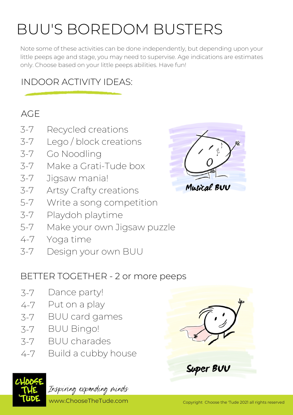# BUU'S BOREDOM BUSTERS

Note some of these activities can be done independently, but depending upon your little peeps age and stage, you may need to supervise. Age indications are estimates only. Choose based on your little peeps abilities. Have fun!

## INDOOR ACTIVITY IDEAS:

### AGE

- 3-7 Recycled creations
- 3-7 Lego / block creations
- 3-7 Go Noodling
- 3-7 Make a Grati-Tude box
- 3-7 Jigsaw mania!
- 3-7 Artsy Crafty creations
- 5-7 Write a song competition
- 3-7 Playdoh playtime
- 5-7 Make your own Jigsaw puzzle
- 4-7 Yoga time
- 3-7 Design your own BUU

### BETTER TOGETHER - 2 or more peeps

- Dance party! 3-7
- Put on a play 4-7
- BUU card games 3-7
- BUU Bingo! 3-7
- BUU charades 3-7
- Build a cubby house 4-7



Inspiring expanding minds

www.ChooseTheTude.com Copyright Choose the 'Tude 2021 all rights reserved